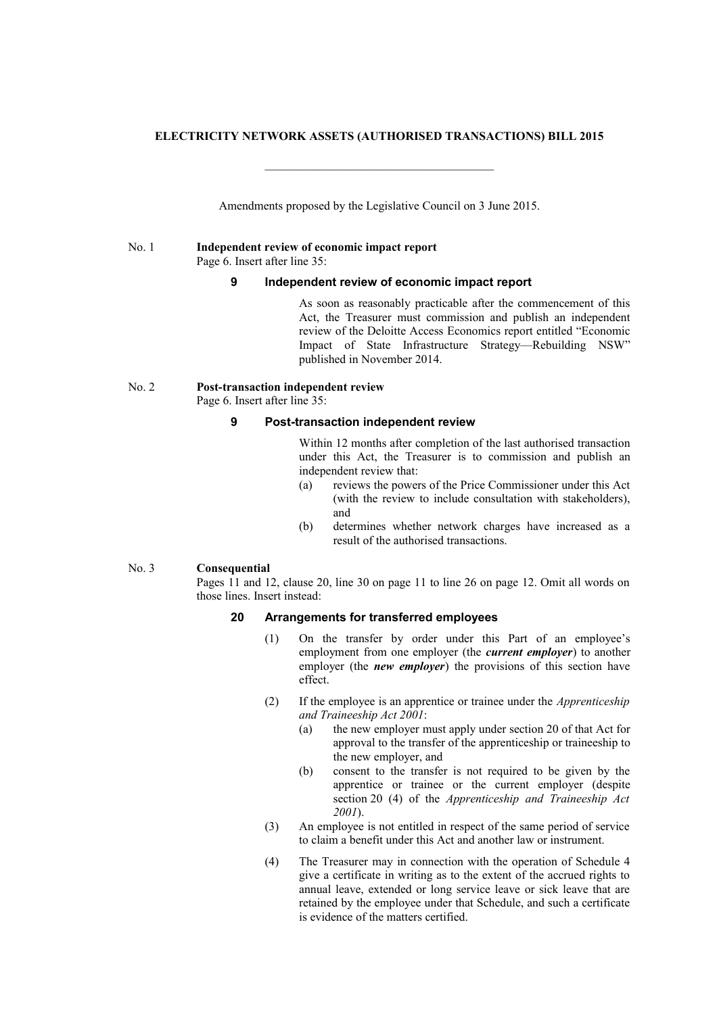#### **ELECTRICITY NETWORK ASSETS (AUTHORISED TRANSACTIONS) BILL 2015**

 $\mathcal{L}_\text{max}$  and  $\mathcal{L}_\text{max}$  and  $\mathcal{L}_\text{max}$  and  $\mathcal{L}_\text{max}$ 

Amendments proposed by the Legislative Council on 3 June 2015.

#### No. 1 **Independent review of economic impact report** Page 6. Insert after line 35:

#### **9 Independent review of economic impact report**

As soon as reasonably practicable after the commencement of this Act, the Treasurer must commission and publish an independent review of the Deloitte Access Economics report entitled "Economic Impact of State Infrastructure Strategy—Rebuilding NSW" published in November 2014.

## No. 2 **Post-transaction independent review**

Page 6. Insert after line 35:

#### **9 Post-transaction independent review**

Within 12 months after completion of the last authorised transaction under this Act, the Treasurer is to commission and publish an independent review that:

- (a) reviews the powers of the Price Commissioner under this Act (with the review to include consultation with stakeholders), and
- (b) determines whether network charges have increased as a result of the authorised transactions.

#### No. 3 **Consequential**

Pages 11 and 12, clause 20, line 30 on page 11 to line 26 on page 12. Omit all words on those lines. Insert instead:

## **20 Arrangements for transferred employees**

- (1) On the transfer by order under this Part of an employee's employment from one employer (the *current employer*) to another employer (the *new employer*) the provisions of this section have effect.
- (2) If the employee is an apprentice or trainee under the *Apprenticeship and Traineeship Act 2001*:
	- (a) the new employer must apply under section 20 of that Act for approval to the transfer of the apprenticeship or traineeship to the new employer, and
	- (b) consent to the transfer is not required to be given by the apprentice or trainee or the current employer (despite section 20 (4) of the *Apprenticeship and Traineeship Act 2001*).
- (3) An employee is not entitled in respect of the same period of service to claim a benefit under this Act and another law or instrument.
- (4) The Treasurer may in connection with the operation of Schedule 4 give a certificate in writing as to the extent of the accrued rights to annual leave, extended or long service leave or sick leave that are retained by the employee under that Schedule, and such a certificate is evidence of the matters certified.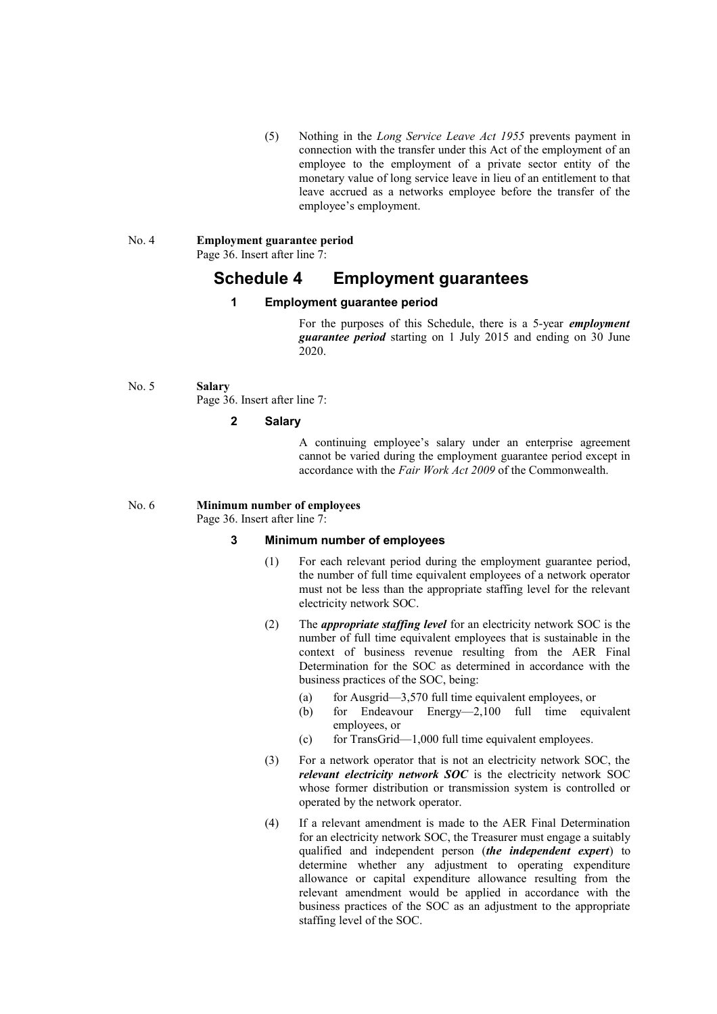(5) Nothing in the *Long Service Leave Act 1955* prevents payment in connection with the transfer under this Act of the employment of an employee to the employment of a private sector entity of the monetary value of long service leave in lieu of an entitlement to that leave accrued as a networks employee before the transfer of the employee's employment.

# No. 4 **Employment guarantee period**

Page 36. Insert after line 7:

## **Schedule 4 Employment guarantees**

## **1 Employment guarantee period**

For the purposes of this Schedule, there is a 5-year *employment guarantee period* starting on 1 July 2015 and ending on 30 June 2020.

## No. 5 **Salary**

Page 36. Insert after line 7:

### **2 Salary**

A continuing employee's salary under an enterprise agreement cannot be varied during the employment guarantee period except in accordance with the *Fair Work Act 2009* of the Commonwealth.

No. 6 **Minimum number of employees**

Page 36. Insert after line 7:

## **3 Minimum number of employees**

- (1) For each relevant period during the employment guarantee period, the number of full time equivalent employees of a network operator must not be less than the appropriate staffing level for the relevant electricity network SOC.
- (2) The *appropriate staffing level* for an electricity network SOC is the number of full time equivalent employees that is sustainable in the context of business revenue resulting from the AER Final Determination for the SOC as determined in accordance with the business practices of the SOC, being:
	- (a) for Ausgrid—3,570 full time equivalent employees, or
	- (b) for Endeavour Energy—2,100 full time equivalent employees, or
	- $(c)$  for TransGrid—1,000 full time equivalent employees.
- (3) For a network operator that is not an electricity network SOC, the *relevant electricity network SOC* is the electricity network SOC whose former distribution or transmission system is controlled or operated by the network operator.
- (4) If a relevant amendment is made to the AER Final Determination for an electricity network SOC, the Treasurer must engage a suitably qualified and independent person (*the independent expert*) to determine whether any adjustment to operating expenditure allowance or capital expenditure allowance resulting from the relevant amendment would be applied in accordance with the business practices of the SOC as an adjustment to the appropriate staffing level of the SOC.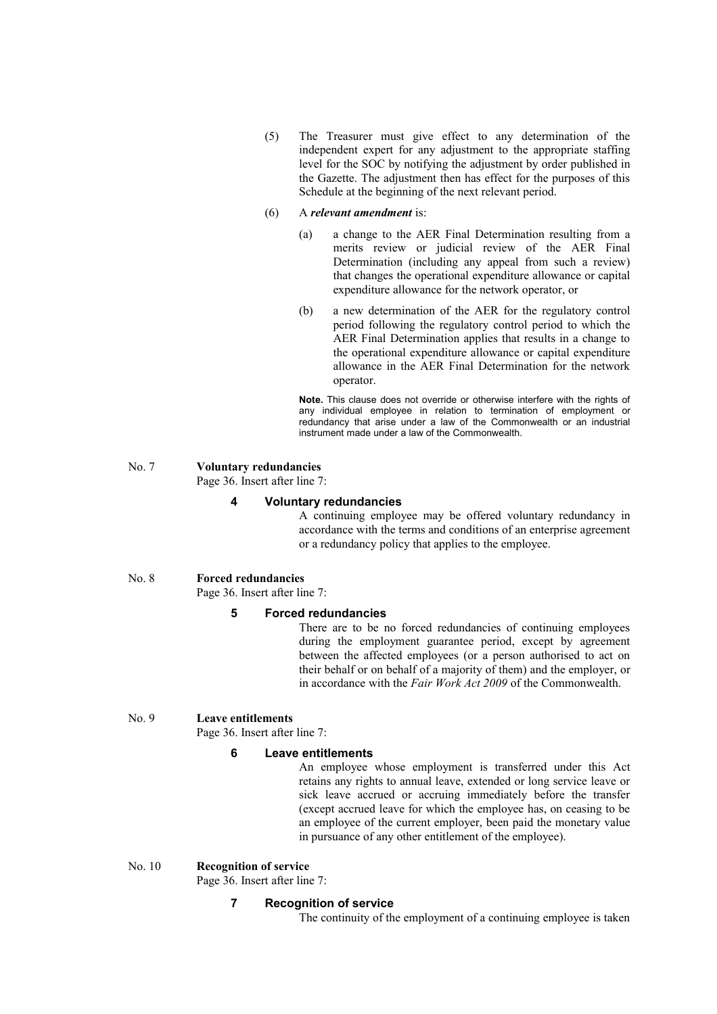- (5) The Treasurer must give effect to any determination of the independent expert for any adjustment to the appropriate staffing level for the SOC by notifying the adjustment by order published in the Gazette. The adjustment then has effect for the purposes of this Schedule at the beginning of the next relevant period.
- (6) A *relevant amendment* is:
	- (a) a change to the AER Final Determination resulting from a merits review or judicial review of the AER Final Determination (including any appeal from such a review) that changes the operational expenditure allowance or capital expenditure allowance for the network operator, or
	- (b) a new determination of the AER for the regulatory control period following the regulatory control period to which the AER Final Determination applies that results in a change to the operational expenditure allowance or capital expenditure allowance in the AER Final Determination for the network operator.

**Note.** This clause does not override or otherwise interfere with the rights of any individual employee in relation to termination of employment or redundancy that arise under a law of the Commonwealth or an industrial instrument made under a law of the Commonwealth.

#### No. 7 **Voluntary redundancies** Page 36. Insert after line 7:

#### **4 Voluntary redundancies**

A continuing employee may be offered voluntary redundancy in accordance with the terms and conditions of an enterprise agreement or a redundancy policy that applies to the employee.

#### No. 8 **Forced redundancies**

Page 36. Insert after line 7:

## **5 Forced redundancies**

There are to be no forced redundancies of continuing employees during the employment guarantee period, except by agreement between the affected employees (or a person authorised to act on their behalf or on behalf of a majority of them) and the employer, or in accordance with the *Fair Work Act 2009* of the Commonwealth.

### No. 9 **Leave entitlements**

Page 36. Insert after line 7:

#### **6 Leave entitlements**

An employee whose employment is transferred under this Act retains any rights to annual leave, extended or long service leave or sick leave accrued or accruing immediately before the transfer (except accrued leave for which the employee has, on ceasing to be an employee of the current employer, been paid the monetary value in pursuance of any other entitlement of the employee).

#### No. 10 **Recognition of service**

Page 36. Insert after line 7:

#### **7 Recognition of service**

The continuity of the employment of a continuing employee is taken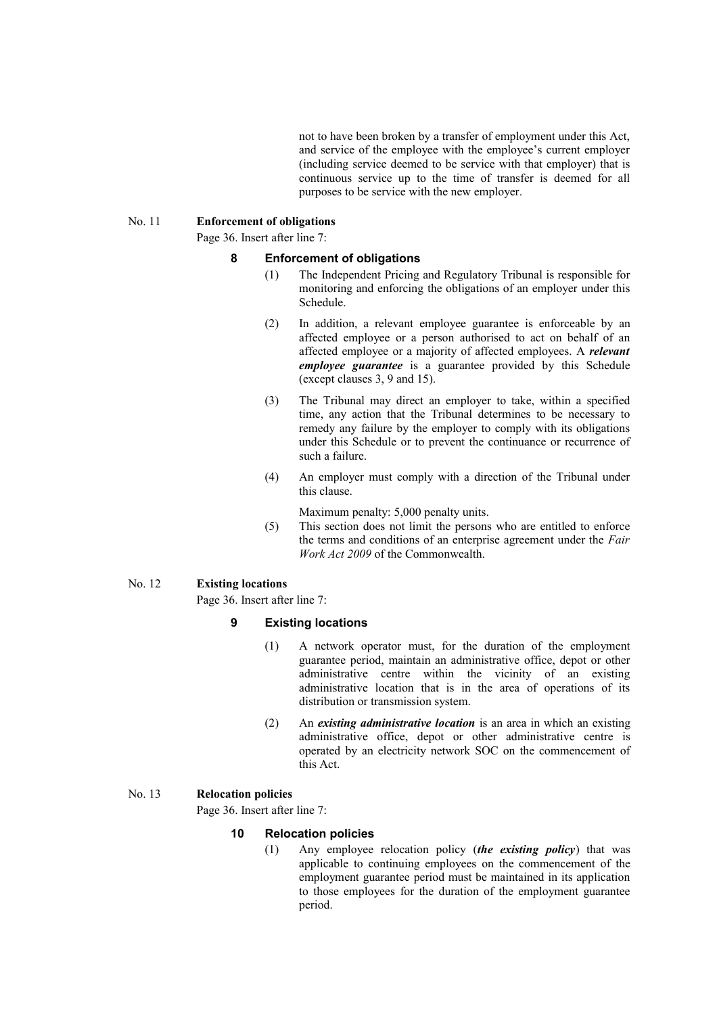not to have been broken by a transfer of employment under this Act, and service of the employee with the employee's current employer (including service deemed to be service with that employer) that is continuous service up to the time of transfer is deemed for all purposes to be service with the new employer.

#### No. 11 **Enforcement of obligations**

Page 36. Insert after line 7:

#### **8 Enforcement of obligations**

- (1) The Independent Pricing and Regulatory Tribunal is responsible for monitoring and enforcing the obligations of an employer under this Schedule.
- (2) In addition, a relevant employee guarantee is enforceable by an affected employee or a person authorised to act on behalf of an affected employee or a majority of affected employees. A *relevant employee guarantee* is a guarantee provided by this Schedule (except clauses 3, 9 and 15).
- (3) The Tribunal may direct an employer to take, within a specified time, any action that the Tribunal determines to be necessary to remedy any failure by the employer to comply with its obligations under this Schedule or to prevent the continuance or recurrence of such a failure.
- (4) An employer must comply with a direction of the Tribunal under this clause.
	- Maximum penalty: 5,000 penalty units.
- (5) This section does not limit the persons who are entitled to enforce the terms and conditions of an enterprise agreement under the *Fair Work Act 2009* of the Commonwealth.

#### No. 12 **Existing locations**

Page 36. Insert after line 7:

#### **9 Existing locations**

- (1) A network operator must, for the duration of the employment guarantee period, maintain an administrative office, depot or other administrative centre within the vicinity of an existing administrative location that is in the area of operations of its distribution or transmission system.
- (2) An *existing administrative location* is an area in which an existing administrative office, depot or other administrative centre is operated by an electricity network SOC on the commencement of this Act.

#### No. 13 **Relocation policies**

Page 36. Insert after line 7:

#### **10 Relocation policies**

(1) Any employee relocation policy (*the existing policy*) that was applicable to continuing employees on the commencement of the employment guarantee period must be maintained in its application to those employees for the duration of the employment guarantee period.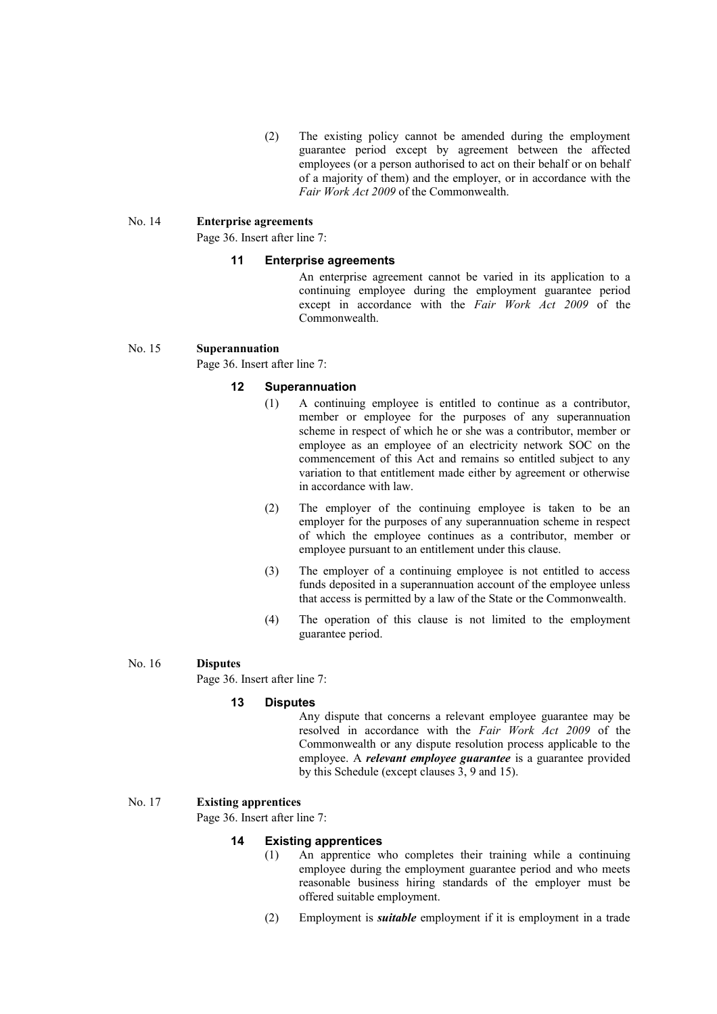(2) The existing policy cannot be amended during the employment guarantee period except by agreement between the affected employees (or a person authorised to act on their behalf or on behalf of a majority of them) and the employer, or in accordance with the *Fair Work Act 2009* of the Commonwealth.

#### No. 14 **Enterprise agreements**

Page 36. Insert after line 7:

#### **11 Enterprise agreements**

An enterprise agreement cannot be varied in its application to a continuing employee during the employment guarantee period except in accordance with the *Fair Work Act 2009* of the Commonwealth.

#### No. 15 **Superannuation**

Page 36. Insert after line 7:

#### **12 Superannuation**

- (1) A continuing employee is entitled to continue as a contributor, member or employee for the purposes of any superannuation scheme in respect of which he or she was a contributor, member or employee as an employee of an electricity network SOC on the commencement of this Act and remains so entitled subject to any variation to that entitlement made either by agreement or otherwise in accordance with law.
- (2) The employer of the continuing employee is taken to be an employer for the purposes of any superannuation scheme in respect of which the employee continues as a contributor, member or employee pursuant to an entitlement under this clause.
- (3) The employer of a continuing employee is not entitled to access funds deposited in a superannuation account of the employee unless that access is permitted by a law of the State or the Commonwealth.
- (4) The operation of this clause is not limited to the employment guarantee period.

#### No. 16 **Disputes**

Page 36. Insert after line 7:

#### **13 Disputes**

Any dispute that concerns a relevant employee guarantee may be resolved in accordance with the *Fair Work Act 2009* of the Commonwealth or any dispute resolution process applicable to the employee. A *relevant employee guarantee* is a guarantee provided by this Schedule (except clauses 3, 9 and 15).

#### No. 17 **Existing apprentices**

Page 36. Insert after line 7:

#### **14 Existing apprentices**

- (1) An apprentice who completes their training while a continuing employee during the employment guarantee period and who meets reasonable business hiring standards of the employer must be offered suitable employment.
- (2) Employment is *suitable* employment if it is employment in a trade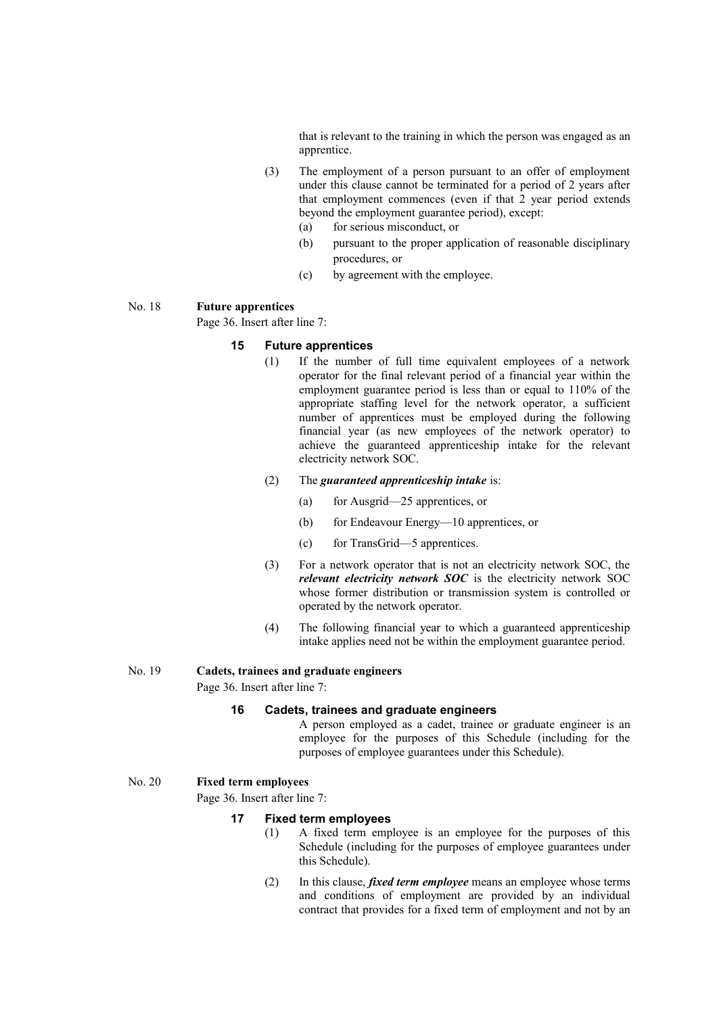that is relevant to the training in which the person was engaged as an apprentice.

- (3) The employment of a person pursuant to an offer of employment under this clause cannot be terminated for a period of 2 years after that employment commences (even if that 2 year period extends beyond the employment guarantee period), except:
	- (a) for serious misconduct, or
	- (b) pursuant to the proper application of reasonable disciplinary procedures, or
	- (c) by agreement with the employee.

#### No. 18 **Future apprentices**

Page 36. Insert after line 7:

## **15 Future apprentices**

(1) If the number of full time equivalent employees of a network operator for the final relevant period of a financial year within the employment guarantee period is less than or equal to 110% of the appropriate staffing level for the network operator, a sufficient number of apprentices must be employed during the following financial year (as new employees of the network operator) to achieve the guaranteed apprenticeship intake for the relevant electricity network SOC.

#### (2) The *guaranteed apprenticeship intake* is:

- (a) for Ausgrid—25 apprentices, or
- (b) for Endeavour Energy—10 apprentices, or
- (c) for TransGrid—5 apprentices.
- (3) For a network operator that is not an electricity network SOC, the *relevant electricity network SOC* is the electricity network SOC whose former distribution or transmission system is controlled or operated by the network operator.
- (4) The following financial year to which a guaranteed apprenticeship intake applies need not be within the employment guarantee period.

#### No. 19 **Cadets, trainees and graduate engineers**

Page 36. Insert after line 7:

## **16 Cadets, trainees and graduate engineers**

A person employed as a cadet, trainee or graduate engineer is an employee for the purposes of this Schedule (including for the purposes of employee guarantees under this Schedule).

#### No. 20 **Fixed term employees**

Page 36. Insert after line 7:

#### **17 Fixed term employees**

- (1) A fixed term employee is an employee for the purposes of this Schedule (including for the purposes of employee guarantees under this Schedule).
- (2) In this clause, *fixed term employee* means an employee whose terms and conditions of employment are provided by an individual contract that provides for a fixed term of employment and not by an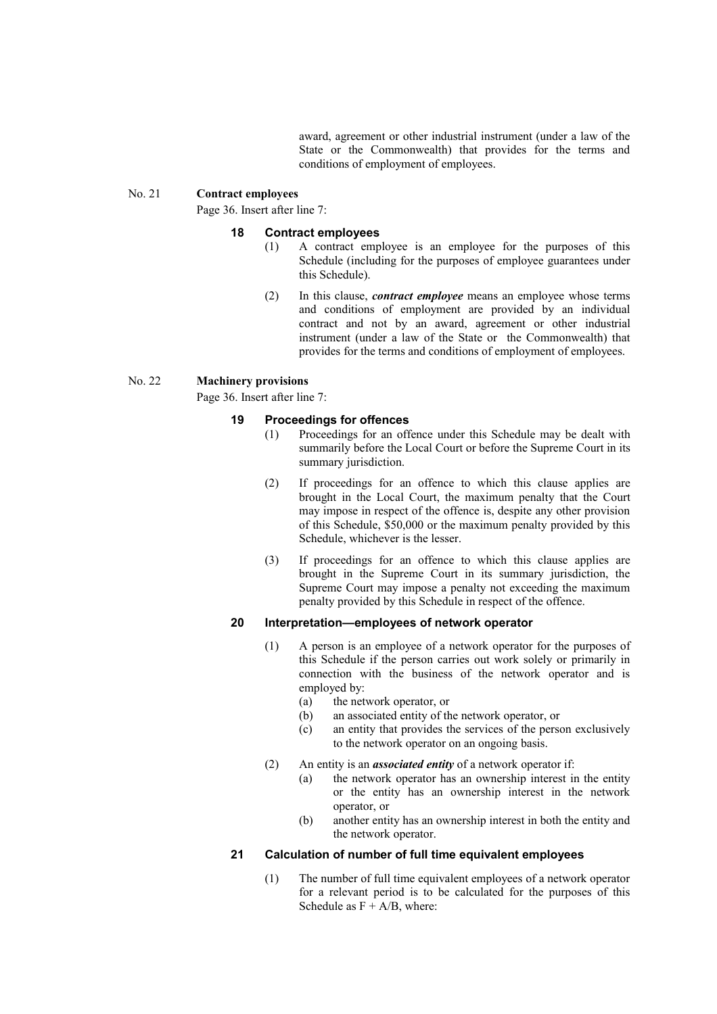award, agreement or other industrial instrument (under a law of the State or the Commonwealth) that provides for the terms and conditions of employment of employees.

#### No. 21 **Contract employees**

Page 36. Insert after line 7:

#### **18 Contract employees**

- (1) A contract employee is an employee for the purposes of this Schedule (including for the purposes of employee guarantees under this Schedule).
- (2) In this clause, *contract employee* means an employee whose terms and conditions of employment are provided by an individual contract and not by an award, agreement or other industrial instrument (under a law of the State or the Commonwealth) that provides for the terms and conditions of employment of employees.

### No. 22 **Machinery provisions**

Page 36. Insert after line 7:

### **19 Proceedings for offences**

- (1) Proceedings for an offence under this Schedule may be dealt with summarily before the Local Court or before the Supreme Court in its summary jurisdiction.
- (2) If proceedings for an offence to which this clause applies are brought in the Local Court, the maximum penalty that the Court may impose in respect of the offence is, despite any other provision of this Schedule, \$50,000 or the maximum penalty provided by this Schedule, whichever is the lesser.
- (3) If proceedings for an offence to which this clause applies are brought in the Supreme Court in its summary jurisdiction, the Supreme Court may impose a penalty not exceeding the maximum penalty provided by this Schedule in respect of the offence.

### **20 Interpretation—employees of network operator**

- (1) A person is an employee of a network operator for the purposes of this Schedule if the person carries out work solely or primarily in connection with the business of the network operator and is employed by:
	- (a) the network operator, or
	- (b) an associated entity of the network operator, or
	- (c) an entity that provides the services of the person exclusively to the network operator on an ongoing basis.
- (2) An entity is an *associated entity* of a network operator if:
	- (a) the network operator has an ownership interest in the entity or the entity has an ownership interest in the network operator, or
	- (b) another entity has an ownership interest in both the entity and the network operator.

### **21 Calculation of number of full time equivalent employees**

(1) The number of full time equivalent employees of a network operator for a relevant period is to be calculated for the purposes of this Schedule as  $F + A/B$ , where: